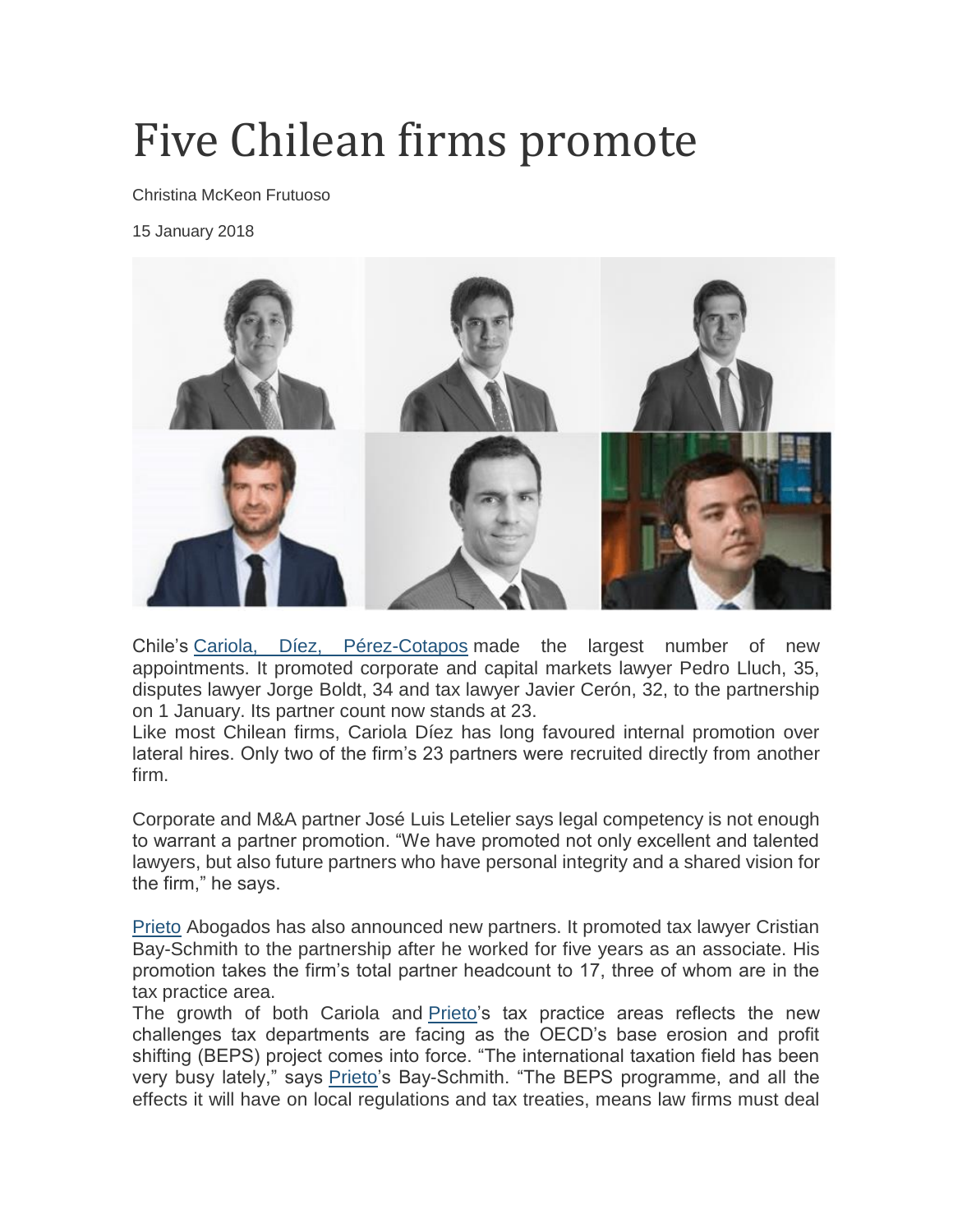## Five Chilean firms promote

Christina McKeon Frutuoso

15 January 2018



Chile's [Cariola, Díez, Pérez-Cotapos](https://latinlawyer.com/ll250/firms/1131580/cariola-d%C3%ADez-perez-cotapos) made the largest number of new appointments. It promoted corporate and capital markets lawyer Pedro Lluch, 35, disputes lawyer Jorge Boldt, 34 and tax lawyer Javier Cerón, 32, to the partnership on 1 January. Its partner count now stands at 23.

Like most Chilean firms, Cariola Díez has long favoured internal promotion over lateral hires. Only two of the firm's 23 partners were recruited directly from another firm.

Corporate and M&A partner José Luis Letelier says legal competency is not enough to warrant a partner promotion. "We have promoted not only excellent and talented lawyers, but also future partners who have personal integrity and a shared vision for the firm," he says.

[Prieto](https://latinlawyer.com/ll250/firms/1131499/prieto) Abogados has also announced new partners. It promoted tax lawyer Cristian Bay-Schmith to the partnership after he worked for five years as an associate. His promotion takes the firm's total partner headcount to 17, three of whom are in the tax practice area.

The growth of both Cariola and [Prieto'](https://latinlawyer.com/ll250/firms/1131499/prieto)s tax practice areas reflects the new challenges tax departments are facing as the OECD's base erosion and profit shifting (BEPS) project comes into force. "The international taxation field has been very busy lately," says [Prieto'](https://latinlawyer.com/ll250/firms/1131499/prieto)s Bay-Schmith. "The BEPS programme, and all the effects it will have on local regulations and tax treaties, means law firms must deal